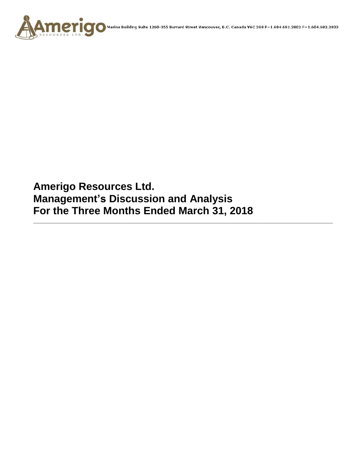

**Amerigo Resources Ltd. Management's Discussion and Analysis For the Three Months Ended March 31, 2018**

**\_\_\_\_\_\_\_\_\_\_\_\_\_\_\_\_\_\_\_\_\_\_\_\_\_\_\_\_\_\_\_\_\_\_\_\_\_\_\_\_\_\_\_\_\_\_\_\_\_\_\_\_\_\_\_\_\_\_\_\_\_\_\_\_\_\_\_\_\_\_\_\_\_\_\_\_\_\_\_\_\_\_\_\_**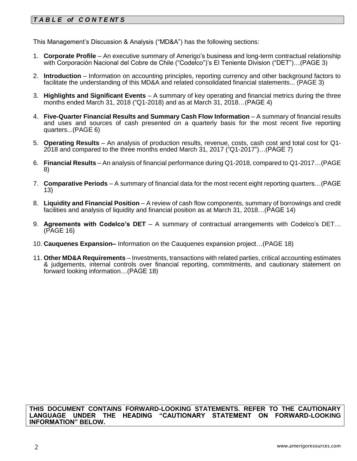# *T A B L E of C O N T E NT S*

This Management's Discussion & Analysis ("MD&A") has the following sections:

- 1. **Corporate Profile**  An executive summary of Amerigo's business and long-term contractual relationship with Corporación Nacional del Cobre de Chile ("Codelco")'s El Teniente Division ("DET")…(PAGE 3)
- 2. **Introduction**  Information on accounting principles, reporting currency and other background factors to facilitate the understanding of this MD&A and related consolidated financial statements... (PAGE 3)
- 3. **Highlights and Significant Events** A summary of key operating and financial metrics during the three months ended March 31, 2018 ("Q1-2018) and as at March 31, 2018…(PAGE 4)
- 4. **Five-Quarter Financial Results and Summary Cash Flow Information** A summary of financial results and uses and sources of cash presented on a quarterly basis for the most recent five reporting quarters...(PAGE 6)
- 5. **Operating Results** An analysis of production results, revenue, costs, cash cost and total cost for Q1- 2018 and compared to the three months ended March 31, 2017 ("Q1-2017")…(PAGE 7)
- 6. **Financial Results** An analysis of financial performance during Q1-2018, compared to Q1-2017…(PAGE 8)
- 7. **Comparative Periods** A summary of financial data for the most recent eight reporting quarters…(PAGE 13)
- 8. **Liquidity and Financial Position** A review of cash flow components, summary of borrowings and credit facilities and analysis of liquidity and financial position as at March 31, 2018…(PAGE 14)
- 9. **Agreements with Codelco's DET** A summary of contractual arrangements with Codelco's DET… (PAGE 16)
- 10. **Cauquenes Expansion–** Information on the Cauquenes expansion project…(PAGE 18)
- 11. **Other MD&A Requirements** Investments, transactions with related parties, critical accounting estimates & judgements, internal controls over financial reporting, commitments, and cautionary statement on forward looking information…(PAGE 18)

**THIS DOCUMENT CONTAINS FORWARD-LOOKING STATEMENTS. REFER TO THE CAUTIONARY LANGUAGE UNDER THE HEADING "CAUTIONARY STATEMENT ON FORWARD-LOOKING INFORMATION" BELOW.**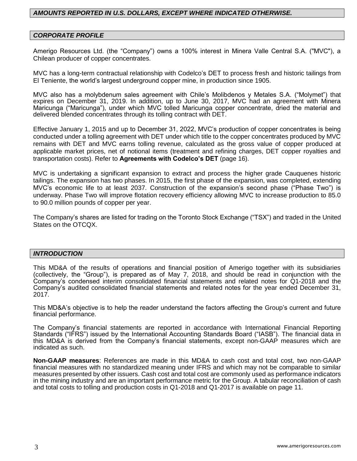## *AMOUNTS REPORTED IN U.S. DOLLARS, EXCEPT WHERE INDICATED OTHERWISE.*

#### *CORPORATE PROFILE*

Amerigo Resources Ltd. (the "Company") owns a 100% interest in Minera Valle Central S.A. ("MVC"), a Chilean producer of copper concentrates.

MVC has a long-term contractual relationship with Codelco's DET to process fresh and historic tailings from El Teniente, the world's largest underground copper mine, in production since 1905.

MVC also has a molybdenum sales agreement with Chile's Molibdenos y Metales S.A. ("Molymet") that expires on December 31, 2019. In addition, up to June 30, 2017, MVC had an agreement with Minera Maricunga ("Maricunga"), under which MVC tolled Maricunga copper concentrate, dried the material and delivered blended concentrates through its tolling contract with DET.

Effective January 1, 2015 and up to December 31, 2022, MVC's production of copper concentrates is being conducted under a tolling agreement with DET under which title to the copper concentrates produced by MVC remains with DET and MVC earns tolling revenue, calculated as the gross value of copper produced at applicable market prices, net of notional items (treatment and refining charges, DET copper royalties and transportation costs). Refer to **Agreements with Codelco's DET** (page 16).

MVC is undertaking a significant expansion to extract and process the higher grade Cauquenes historic tailings. The expansion has two phases. In 2015, the first phase of the expansion, was completed, extending MVC's economic life to at least 2037. Construction of the expansion's second phase ("Phase Two") is underway. Phase Two will improve flotation recovery efficiency allowing MVC to increase production to 85.0 to 90.0 million pounds of copper per year.

The Company's shares are listed for trading on the Toronto Stock Exchange ("TSX") and traded in the United States on the OTCQX.

#### *INTRODUCTION*

This MD&A of the results of operations and financial position of Amerigo together with its subsidiaries (collectively, the "Group"), is prepared as of May 7, 2018, and should be read in conjunction with the Company's condensed interim consolidated financial statements and related notes for Q1-2018 and the Company's audited consolidated financial statements and related notes for the year ended December 31, 2017.

This MD&A's objective is to help the reader understand the factors affecting the Group's current and future financial performance.

The Company's financial statements are reported in accordance with International Financial Reporting Standards ("IFRS") issued by the International Accounting Standards Board ("IASB"). The financial data in this MD&A is derived from the Company's financial statements, except non-GAAP measures which are indicated as such.

**Non-GAAP measures**: References are made in this MD&A to cash cost and total cost, two non-GAAP financial measures with no standardized meaning under IFRS and which may not be comparable to similar measures presented by other issuers. Cash cost and total cost are commonly used as performance indicators in the mining industry and are an important performance metric for the Group. A tabular reconciliation of cash and total costs to tolling and production costs in Q1-2018 and Q1-2017 is available on page 11.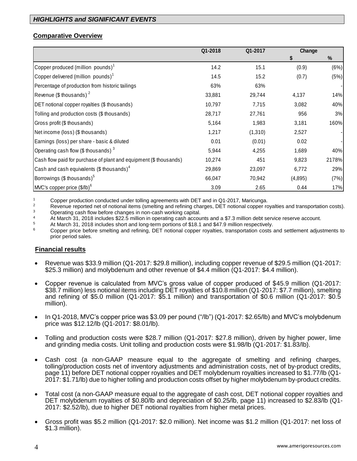## **Comparative Overview**

|                                                                   | Q1-2018 | Q1-2017 | Change  |       |
|-------------------------------------------------------------------|---------|---------|---------|-------|
|                                                                   |         |         |         | %     |
| Copper produced (million pounds) $1$                              | 14.2    | 15.1    | (0.9)   | (6%)  |
| Copper delivered (million pounds) <sup>1</sup>                    | 14.5    | 15.2    | (0.7)   | (5%)  |
| Percentage of production from historic tailings                   | 63%     | 63%     |         |       |
| Revenue (\$ thousands) $^2$                                       | 33,881  | 29,744  | 4,137   | 14%   |
| DET notional copper royalties (\$ thousands)                      | 10,797  | 7,715   | 3,082   | 40%   |
| Tolling and production costs (\$ thousands)                       | 28,717  | 27,761  | 956     | 3%    |
| Gross profit (\$ thousands)                                       | 5,164   | 1,983   | 3,181   | 160%  |
| Net income (loss) (\$ thousands)                                  | 1,217   | (1,310) | 2,527   |       |
| Earnings (loss) per share - basic & diluted                       | 0.01    | (0.01)  | 0.02    |       |
| Operating cash flow (\$ thousands) $3$                            | 5,944   | 4,255   | 1,689   | 40%   |
| Cash flow paid for purchase of plant and equipment (\$ thousands) | 10,274  | 451     | 9,823   | 2178% |
| Cash and cash equivalents (\$ thousands) $4$                      | 29,869  | 23,097  | 6,772   | 29%   |
| Borrowings (\$ thousands) <sup>5</sup>                            | 66,047  | 70,942  | (4,895) | (7%)  |
| MVC's copper price (\$/lb) <sup>6</sup>                           | 3.09    | 2.65    | 0.44    | 17%   |

<sup>1</sup> Copper production conducted under tolling agreements with DET and in Q1-2017, Maricunga.<br><sup>2</sup> Povenue reported not of potional items (amelting and refining oberase. DET potional copper re

<sup>2</sup> Revenue reported net of notional items (smelting and refining charges, DET notional copper royalties and transportation costs).  $\frac{3}{4}$  Operating cash flow before changes in non-cash working capital.

4 At March 31, 2018 includes \$22.5 million in operating cash accounts and a \$7.3 million debt service reserve account.

<sup>5</sup> At March 31, 2018 includes short and long-term portions of \$18.1 and \$47.9 million respectively.

<sup>6</sup> Copper price before smelting and refining, DET notional copper royalties, transportation costs and settlement adjustments to prior period sales.

### **Financial results**

- Revenue was \$33.9 million (Q1-2017: \$29.8 million), including copper revenue of \$29.5 million (Q1-2017: \$25.3 million) and molybdenum and other revenue of \$4.4 million (Q1-2017: \$4.4 million).
- Copper revenue is calculated from MVC's gross value of copper produced of \$45.9 million (Q1-2017: \$38.7 million) less notional items including DET royalties of \$10.8 million (Q1-2017: \$7.7 million), smelting and refining of \$5.0 million (Q1-2017: \$5.1 million) and transportation of \$0.6 million (Q1-2017: \$0.5 million).
- In Q1-2018, MVC's copper price was \$3.09 per pound ("/lb") (Q1-2017: \$2.65/lb) and MVC's molybdenum price was \$12.12/lb (Q1-2017: \$8.01/lb).
- Tolling and production costs were \$28.7 million (Q1-2017: \$27.8 million), driven by higher power, lime and grinding media costs. Unit tolling and production costs were \$1.98/lb (Q1-2017: \$1.83/lb).
- Cash cost (a non-GAAP measure equal to the aggregate of smelting and refining charges, tolling/production costs net of inventory adjustments and administration costs, net of by-product credits, page 11) before DET notional copper royalties and DET molybdenum royalties increased to \$1.77/lb (Q1- 2017: \$1.71/lb) due to higher tolling and production costs offset by higher molybdenum by-product credits.
- Total cost (a non-GAAP measure equal to the aggregate of cash cost, DET notional copper royalties and DET molybdenum royalties of \$0.80/lb and depreciation of \$0.25/lb, page 11) increased to \$2.83/lb (Q1- 2017: \$2.52/lb), due to higher DET notional royalties from higher metal prices.
- Gross profit was \$5.2 million (Q1-2017: \$2.0 million). Net income was \$1.2 million (Q1-2017: net loss of \$1.3 million).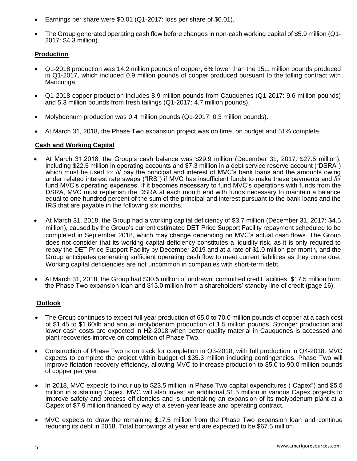- Earnings per share were \$0.01 (Q1-2017: loss per share of \$0.01).
- The Group generated operating cash flow before changes in non-cash working capital of \$5.9 million (Q1- 2017: \$4.3 million).

## **Production**

- Q1-2018 production was 14.2 million pounds of copper, 6% lower than the 15.1 million pounds produced in Q1-2017, which included 0.9 million pounds of copper produced pursuant to the tolling contract with Maricunga.
- Q1-2018 copper production includes 8.9 million pounds from Cauquenes (Q1-2017: 9.6 million pounds) and 5.3 million pounds from fresh tailings (Q1-2017: 4.7 million pounds).
- Molybdenum production was 0.4 million pounds (Q1-2017: 0.3 million pounds).
- At March 31, 2018, the Phase Two expansion project was on time, on budget and 51% complete.

### **Cash and Working Capital**

- At March 31,2018, the Group's cash balance was \$29.9 million (December 31, 2017: \$27.5 million), including \$22.5 million in operating accounts and \$7.3 million in a debt service reserve account ("DSRA") which must be used to: /i/ pay the principal and interest of MVC's bank loans and the amounts owing under related interest rate swaps ("IRS") if MVC has insufficient funds to make these payments and /ii/ fund MVC's operating expenses. If it becomes necessary to fund MVC's operations with funds from the DSRA, MVC must replenish the DSRA at each month end with funds necessary to maintain a balance equal to one hundred percent of the sum of the principal and interest pursuant to the bank loans and the IRS that are payable in the following six months.
- At March 31, 2018, the Group had a working capital deficiency of \$3.7 million (December 31, 2017: \$4.5 million), caused by the Group's current estimated DET Price Support Facility repayment scheduled to be completed in September 2018, which may change depending on MVC's actual cash flows. The Group does not consider that its working capital deficiency constitutes a liquidity risk, as it is only required to repay the DET Price Support Facility by December 2019 and at a rate of \$1.0 million per month, and the Group anticipates generating sufficient operating cash flow to meet current liabilities as they come due. Working capital deficiencies are not uncommon in companies with short-term debt.
- At March 31, 2018, the Group had \$30.5 million of undrawn, committed credit facilities, \$17.5 million from the Phase Two expansion loan and \$13.0 million from a shareholders' standby line of credit (page 16).

### **Outlook**

- The Group continues to expect full year production of 65.0 to 70.0 million pounds of copper at a cash cost of \$1.45 to \$1.60/lb and annual molybdenum production of 1.5 million pounds. Stronger production and lower cash costs are expected in H2-2018 when better quality material in Cauquenes is accessed and plant recoveries improve on completion of Phase Two.
- Construction of Phase Two is on track for completion in Q3-2018, with full production in Q4-2018. MVC expects to complete the project within budget of \$35.3 million including contingencies. Phase Two will improve flotation recovery efficiency, allowing MVC to increase production to 85.0 to 90.0 million pounds of copper per year.
- In 2018, MVC expects to incur up to \$23.5 million in Phase Two capital expenditures ("Capex") and \$5.5 million in sustaining Capex. MVC will also invest an additional \$1.5 million in various Capex projects to improve safety and process efficiencies and is undertaking an expansion of its molybdenum plant at a Capex of \$7.9 million financed by way of a seven-year lease and operating contract.
- MVC expects to draw the remaining \$17.5 million from the Phase Two expansion loan and continue reducing its debt in 2018. Total borrowings at year end are expected to be \$67.5 million.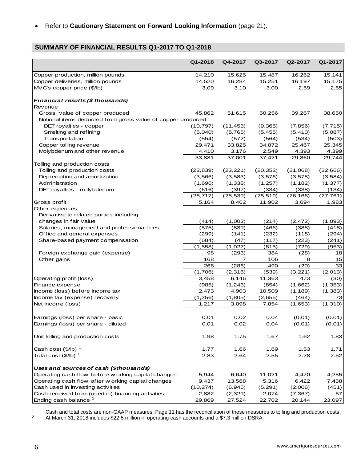• Refer to **Cautionary Statement on Forward Looking Information** (page 21).

## **SUMMARY OF FINANCIAL RESULTS Q1-2017 TO Q1-2018**

|                                                              | Q1-2018   | Q4-2017   | Q3-2017   | Q2-2017   | Q1-2017   |
|--------------------------------------------------------------|-----------|-----------|-----------|-----------|-----------|
|                                                              |           |           |           |           |           |
| Copper production, million pounds                            | 14.210    | 15.625    | 15.487    | 16.262    | 15.141    |
| Copper deliveries, million pounds                            | 14.520    | 16.284    | 15.251    | 16.197    | 15.175    |
| MVC's copper price (\$/lb)                                   | 3.09      | 3.10      | 3.00      | 2.59      | 2.65      |
| Financial results (\$ thousands)                             |           |           |           |           |           |
| Revenue                                                      |           |           |           |           |           |
| Gross value of copper produced                               | 45,862    | 51,615    | 50,256    | 39,267    | 38,650    |
| Notional items deducted from gross value of copper produced: |           |           |           |           |           |
| DET royalties - copper                                       | (10, 797) | (11, 453) | (9,365)   | (7, 856)  | (7, 715)  |
| Smelting and refining                                        | (5,040)   | (5,765)   | (5,455)   | (5, 410)  | (5,087)   |
| Transportation                                               | (554)     | (572)     | (564)     | (534)     | (503)     |
| Copper tolling revenue                                       | 29,471    | 33,825    | 34,872    | 25,467    | 25,345    |
| Molybdenum and other revenue                                 | 4,410     | 3,176     | 2,549     | 4,393     | 4,399     |
|                                                              | 33,881    | 37,001    | 37,421    | 29,860    | 29,744    |
| Tolling and production costs                                 |           |           |           |           |           |
| Tolling and production costs                                 | (22, 839) | (23, 221) | (20, 352) | (21,068)  | (22, 666) |
| Depreciation and amortization                                | (3,566)   | (3, 583)  | (3,576)   | (3,578)   | (3, 584)  |
| Administration                                               | (1,696)   | (1, 338)  | (1,257)   | (1, 182)  | (1, 377)  |
| DET royalties - molybdenum                                   | (616)     | (397)     | (334)     | (338)     | (134)     |
|                                                              | (28, 717) | (28, 539) | (25, 519) | (26, 166) | (27, 761) |
| Gross profit                                                 | 5,164     | 8,462     | 11,902    | 3,694     | 1,983     |
| Other expenses                                               |           |           |           |           |           |
| Derivative to related parties including                      |           |           |           |           |           |
| changes in fair value                                        | (414)     | (1,003)   | (214)     | (2, 472)  | (1,093)   |
| Salaries, management and professional fees                   | (575)     | (839)     | (466)     | (388)     | (418)     |
| Office and general expenses                                  | (299)     | (141)     | (232)     | (118)     | (294)     |
| Share-based payment compensation                             | (684)     | (47)      | (117)     | (223)     | (241)     |
|                                                              | (1,558)   | (1,027)   | (815)     | (729)     | (953)     |
| Foreign exchange gain (expense)                              | 98        | (293)     | 384       | (28)      | 18        |
| Other gains                                                  | 168       | 7         | 106       | 8         | 15        |
|                                                              | 266       | (286)     | 490       | (20)      | 33        |
|                                                              | (1,706)   | (2,316)   | (539)     | (3,221)   | (2,013)   |
| Operating profit (loss)                                      | 3,458     | 6,146     | 11,363    | 473       | (30)      |
| Finance expense                                              | (985)     | (1,243)   | (854)     | (1,662)   | (1, 353)  |
| Income (loss) before income tax                              | 2,473     | 4,903     | 10,509    | (1, 189)  | (1, 383)  |
| Income tax (expense) recovery                                | (1,256)   | (1,805)   | (2,655)   | (464)     | 73        |
| Net income (loss)                                            | 1,217     | 3,098     | 7,854     | (1,653)   | (1, 310)  |
|                                                              |           |           |           |           |           |
| Earnings (loss) per share - basic                            | 0.01      | 0.02      | 0.04      | (0.01)    | (0.01)    |
| Earnings (loss) per share - diluted                          | 0.01      | 0.02      | 0.04      | (0.01)    | (0.01)    |
|                                                              |           |           |           |           |           |
| Unit tolling and production costs                            | 1.98      | 1.75      | 1.67      | 1.62      | 1.83      |
|                                                              |           |           |           |           |           |
| Cash cost $(\frac{5}{lb})^1$                                 | 1.77      | 1.66      | 1.69      | 1.53      | 1.71      |
| Total cost $($/lb)$ <sup>1</sup>                             | 2.83      | 2.64      | 2.55      | 2.28      | 2.52      |
| Uses and sources of cash (\$thousands)                       |           |           |           |           |           |
| Operating cash flow before w orking capital changes          | 5,944     | 6,640     | 11,021    | 4,470     | 4,255     |
| Operating cash flow after w orking capital changes           | 9,437     | 13,568    | 5,316     | 6,422     | 7,438     |
| Cash used in investing activities                            | (10, 274) | (6,945)   | (5,291)   | (2,006)   | (451)     |
| Cash received from (used in) financing activities            | 2,882     | (2,329)   | 2,074     | (7, 367)  | 57        |
| Ending cash balance <sup>2</sup>                             | 29,869    | 27,524    | 22,702    | 20,144    | 23,097    |

1 Cash and total costs are non-GAAP measures. Page 11 has the reconciliation of these measures to tolling and production costs.<br><sup>2</sup> At March 31, 2018 includes \$22.5 million in operating cash accounts and a \$7.3 million DSR

<sup>2</sup> At March 31, 2018 includes \$22.5 million in operating cash accounts and a \$7.3 million DSRA.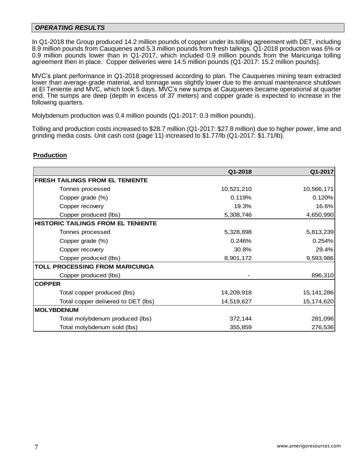#### *OPERATING RESULTS*

In Q1-2018 the Group produced 14.2 million pounds of copper under its tolling agreement with DET, including 8.9 million pounds from Cauquenes and 5.3 million pounds from fresh tailings. Q1-2018 production was 6% or 0.9 million pounds lower than in Q1-2017, which included 0.9 million pounds from the Maricunga tolling agreement then in place. Copper deliveries were 14.5 million pounds (Q1-2017: 15.2 million pounds).

MVC's plant performance in Q1-2018 progressed according to plan. The Cauquenes mining team extracted lower than average grade material, and tonnage was slightly lower due to the annual maintenance shutdown at El Teniente and MVC, which took 5 days. MVC's new sumps at Cauquenes became operational at quarter end. The sumps are deep (depth in excess of 37 meters) and copper grade is expected to increase in the following quarters.

Molybdenum production was 0.4 million pounds (Q1-2017: 0.3 million pounds).

Tolling and production costs increased to \$28.7 million (Q1-2017: \$27.8 million) due to higher power, lime and grinding media costs. Unit cash cost (page 11) increased to \$1.77/lb (Q1-2017: \$1.71/lb).

#### **Production**

|                                           | Q1-2018    | Q1-2017      |
|-------------------------------------------|------------|--------------|
| <b>FRESH TAILINGS FROM EL TENIENTE</b>    |            |              |
| Tonnes processed                          | 10,521,210 | 10,566,171   |
| Copper grade (%)                          | 0.119%     | 0.120%       |
| Copper recovery                           | 19.3%      | 16.6%        |
| Copper produced (lbs)                     | 5,308,746  | 4,650,990    |
| <b>HISTORIC TAILINGS FROM EL TENIENTE</b> |            |              |
| Tonnes processed                          | 5,328,898  | 5,813,239    |
| Copper grade (%)                          | 0.246%     | 0.254%       |
| Copper recovery                           | 30.8%      | 29.4%        |
| Copper produced (lbs)                     | 8,901,172  | 9,593,986    |
| <b>TOLL PROCESSING FROM MARICUNGA</b>     |            |              |
| Copper produced (lbs)                     |            | 896,310      |
| <b>COPPER</b>                             |            |              |
| Total copper produced (lbs)               | 14,209,918 | 15, 141, 286 |
| Total copper delivered to DET (lbs)       | 14,519,627 | 15,174,620   |
| <b>MOLYBDENUM</b>                         |            |              |
| Total molybdenum produced (lbs)           | 372,144    | 281,096      |
| Total molybdenum sold (lbs)               | 355,859    | 276,536      |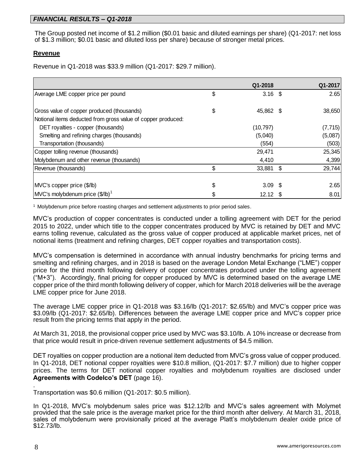## *FINANCIAL RESULTS – Q1-2018*

The Group posted net income of \$1.2 million (\$0.01 basic and diluted earnings per share) (Q1-2017: net loss of \$1.3 million; \$0.01 basic and diluted loss per share) because of stronger metal prices.

### **Revenue**

Revenue in Q1-2018 was \$33.9 million (Q1-2017: \$29.7 million).

|                                                                                                            | Q1-2018         | Q1-2017  |
|------------------------------------------------------------------------------------------------------------|-----------------|----------|
| Average LME copper price per pound                                                                         | \$<br>$3.16$ \$ | 2.65     |
| Gross value of copper produced (thousands)<br>Notional items deducted from gross value of copper produced: | \$<br>45,862 \$ | 38,650   |
| DET royalties - copper (thousands)                                                                         | (10, 797)       | (7, 715) |
| Smelting and refining charges (thousands)                                                                  | (5,040)         | (5,087)  |
| Transportation (thousands)                                                                                 | (554)           | (503)    |
| Copper tolling revenue (thousands)                                                                         | 29,471          | 25,345   |
| Molybdenum and other revenue (thousands)                                                                   | 4,410           | 4,399    |
| Revenue (thousands)                                                                                        | \$<br>33,881 \$ | 29,744   |
| MVC's copper price (\$/lb)                                                                                 | \$<br>$3.09$ \$ | 2.65     |
| $MVC's$ molybdenum price $(\frac{6}{10})^1$                                                                | $12.12$ \$      | 8.01     |

<sup>1</sup> Molybdenum price before roasting charges and settlement adjustments to prior period sales.

MVC's production of copper concentrates is conducted under a tolling agreement with DET for the period 2015 to 2022, under which title to the copper concentrates produced by MVC is retained by DET and MVC earns tolling revenue, calculated as the gross value of copper produced at applicable market prices, net of notional items (treatment and refining charges, DET copper royalties and transportation costs).

MVC's compensation is determined in accordance with annual industry benchmarks for pricing terms and smelting and refining charges, and in 2018 is based on the average London Metal Exchange ("LME") copper price for the third month following delivery of copper concentrates produced under the tolling agreement  $("M+3")$ . Accordingly, final pricing for copper produced by MVC is determined based on the average LME copper price of the third month following delivery of copper, which for March 2018 deliveries will be the average LME copper price for June 2018.

The average LME copper price in Q1-2018 was \$3.16/lb (Q1-2017: \$2.65/lb) and MVC's copper price was \$3.09/lb (Q1-2017: \$2.65/lb). Differences between the average LME copper price and MVC's copper price result from the pricing terms that apply in the period.

At March 31, 2018, the provisional copper price used by MVC was \$3.10/lb. A 10% increase or decrease from that price would result in price-driven revenue settlement adjustments of \$4.5 million.

DET royalties on copper production are a notional item deducted from MVC's gross value of copper produced. In Q1-2018, DET notional copper royalties were \$10.8 million, (Q1-2017: \$7.7 million) due to higher copper prices. The terms for DET notional copper royalties and molybdenum royalties are disclosed under **Agreements with Codelco's DET** (page 16).

Transportation was \$0.6 million (Q1-2017: \$0.5 million).

In Q1-2018, MVC's molybdenum sales price was \$12.12/lb and MVC's sales agreement with Molymet provided that the sale price is the average market price for the third month after delivery. At March 31, 2018, sales of molybdenum were provisionally priced at the average Platt's molybdenum dealer oxide price of \$12.73/lb.

.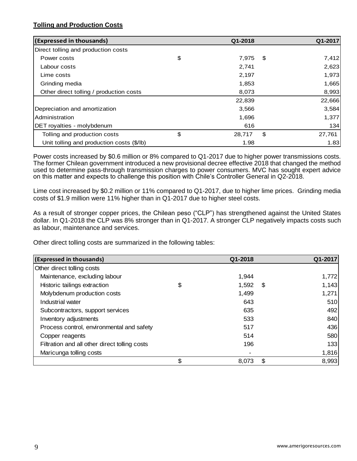## **Tolling and Production Costs**

| (Expressed in thousands)                  | Q1-2018      |      | Q1-2017 |
|-------------------------------------------|--------------|------|---------|
| Direct tolling and production costs       |              |      |         |
| Power costs                               | \$<br>7,975  | - \$ | 7,412   |
| Labour costs                              | 2,741        |      | 2,623   |
| Lime costs                                | 2,197        |      | 1,973   |
| Grinding media                            | 1,853        |      | 1,665   |
| Other direct tolling / production costs   | 8,073        |      | 8,993   |
|                                           | 22,839       |      | 22,666  |
| Depreciation and amortization             | 3,566        |      | 3,584   |
| Administration                            | 1,696        |      | 1,377   |
| DET royalties - molybdenum                | 616          |      | 134     |
| Tolling and production costs              | \$<br>28,717 | \$   | 27,761  |
| Unit tolling and production costs (\$/lb) | 1.98         |      | 1.83    |

Power costs increased by \$0.6 million or 8% compared to Q1-2017 due to higher power transmissions costs. The former Chilean government introduced a new provisional decree effective 2018 that changed the method used to determine pass-through transmission charges to power consumers. MVC has sought expert advice on this matter and expects to challenge this position with Chile's Controller General in Q2-2018.

Lime cost increased by \$0.2 million or 11% compared to Q1-2017, due to higher lime prices. Grinding media costs of \$1.9 million were 11% higher than in Q1-2017 due to higher steel costs.

As a result of stronger copper prices, the Chilean peso ("CLP") has strengthened against the United States dollar. In Q1-2018 the CLP was 8% stronger than in Q1-2017. A stronger CLP negatively impacts costs such as labour, maintenance and services.

Other direct tolling costs are summarized in the following tables:

| (Expressed in thousands)                      | Q1-2018     | Q1-2017     |
|-----------------------------------------------|-------------|-------------|
| Other direct tolling costs                    |             |             |
| Maintenance, excluding labour                 | 1,944       | 1,772       |
| Historic tailings extraction                  | \$<br>1,592 | \$<br>1,143 |
| Molybdenum production costs                   | 1,499       | 1,271       |
| Industrial water                              | 643         | 510         |
| Subcontractors, support services              | 635         | 492         |
| Inventory adjustments                         | 533         | 840         |
| Process control, environmental and safety     | 517         | 436         |
| Copper reagents                               | 514         | 580         |
| Filtration and all other direct tolling costs | 196         | 133         |
| Maricunga tolling costs                       |             | 1,816       |
|                                               | \$<br>8.073 | \$<br>8,993 |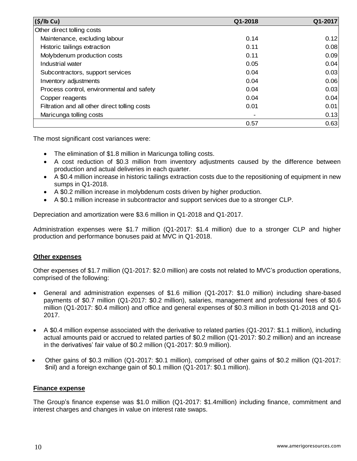| (S/lb Cu)                                     | Q1-2018 | Q1-2017 |
|-----------------------------------------------|---------|---------|
| Other direct tolling costs                    |         |         |
| Maintenance, excluding labour                 | 0.14    | 0.12    |
| Historic tailings extraction                  | 0.11    | 0.08    |
| Molybdenum production costs                   | 0.11    | 0.09    |
| Industrial water                              | 0.05    | 0.04    |
| Subcontractors, support services              | 0.04    | 0.03    |
| Inventory adjustments                         | 0.04    | 0.06    |
| Process control, environmental and safety     | 0.04    | 0.03    |
| Copper reagents                               | 0.04    | 0.04    |
| Filtration and all other direct tolling costs | 0.01    | 0.01    |
| Maricunga tolling costs                       |         | 0.13    |
|                                               | 0.57    | 0.63    |

The most significant cost variances were:

- The elimination of \$1.8 million in Maricunga tolling costs.
- A cost reduction of \$0.3 million from inventory adjustments caused by the difference between production and actual deliveries in each quarter.
- A \$0.4 million increase in historic tailings extraction costs due to the repositioning of equipment in new sumps in Q1-2018.
- A \$0.2 million increase in molybdenum costs driven by higher production.
- A \$0.1 million increase in subcontractor and support services due to a stronger CLP.

Depreciation and amortization were \$3.6 million in Q1-2018 and Q1-2017.

Administration expenses were \$1.7 million (Q1-2017: \$1.4 million) due to a stronger CLP and higher production and performance bonuses paid at MVC in Q1-2018.

### **Other expenses**

Other expenses of \$1.7 million (Q1-2017: \$2.0 million) are costs not related to MVC's production operations, comprised of the following:

- General and administration expenses of \$1.6 million (Q1-2017: \$1.0 million) including share-based payments of \$0.7 million (Q1-2017: \$0.2 million), salaries, management and professional fees of \$0.6 million (Q1-2017: \$0.4 million) and office and general expenses of \$0.3 million in both Q1-2018 and Q1- 2017.
- A \$0.4 million expense associated with the derivative to related parties (Q1-2017: \$1.1 million), including actual amounts paid or accrued to related parties of \$0.2 million (Q1-2017: \$0.2 million) and an increase in the derivatives' fair value of \$0.2 million (Q1-2017: \$0.9 million).
- Other gains of \$0.3 million (Q1-2017: \$0.1 million), comprised of other gains of \$0.2 million (Q1-2017: \$nil) and a foreign exchange gain of \$0.1 million (Q1-2017: \$0.1 million).

### **Finance expense**

The Group's finance expense was \$1.0 million (Q1-2017: \$1.4million) including finance, commitment and interest charges and changes in value on interest rate swaps.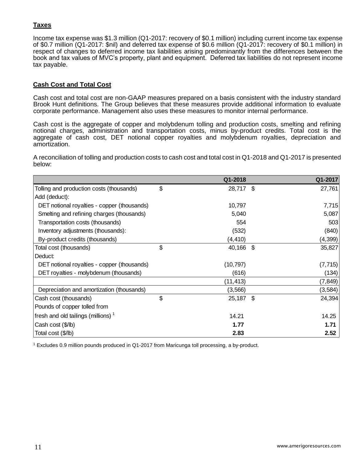## **Taxes**

Income tax expense was \$1.3 million (Q1-2017: recovery of \$0.1 million) including current income tax expense of \$0.7 million (Q1-2017: \$nil) and deferred tax expense of \$0.6 million (Q1-2017: recovery of \$0.1 million) in respect of changes to deferred income tax liabilities arising predominantly from the differences between the book and tax values of MVC's property, plant and equipment. Deferred tax liabilities do not represent income tax payable.

## **Cash Cost and Total Cost**

Cash cost and total cost are non-GAAP measures prepared on a basis consistent with the industry standard Brook Hunt definitions. The Group believes that these measures provide additional information to evaluate corporate performance. Management also uses these measures to monitor internal performance.

Cash cost is the aggregate of copper and molybdenum tolling and production costs, smelting and refining notional charges, administration and transportation costs, minus by-product credits. Total cost is the aggregate of cash cost, DET notional copper royalties and molybdenum royalties, depreciation and amortization.

A reconciliation of tolling and production costs to cash cost and total cost in Q1-2018 and Q1-2017 is presented below:

|                                                | Q1-2018      | Q1-2017      |
|------------------------------------------------|--------------|--------------|
| Tolling and production costs (thousands)       | \$<br>28,717 | \$<br>27,761 |
| Add (deduct):                                  |              |              |
| DET notional royalties - copper (thousands)    | 10,797       | 7,715        |
| Smelting and refining charges (thousands)      | 5,040        | 5,087        |
| Transportation costs (thousands)               | 554          | 503          |
| Inventory adjustments (thousands):             | (532)        | (840)        |
| By-product credits (thousands)                 | (4, 410)     | (4, 399)     |
| Total cost (thousands)                         | \$<br>40,166 | \$<br>35,827 |
| Deduct:                                        |              |              |
| DET notional royalties - copper (thousands)    | (10, 797)    | (7, 715)     |
| DET royalties - molybdenum (thousands)         | (616)        | (134)        |
|                                                | (11,413)     | (7, 849)     |
| Depreciation and amortization (thousands)      | (3, 566)     | (3, 584)     |
| Cash cost (thousands)                          | \$<br>25,187 | \$<br>24,394 |
| Pounds of copper tolled from                   |              |              |
| fresh and old tailings (millions) <sup>1</sup> | 14.21        | 14.25        |
| Cash cost (\$/lb)                              | 1.77         | 1.71         |
| Total cost (\$/lb)                             | 2.83         | 2.52         |

<sup>1</sup> Excludes 0.9 million pounds produced in Q1-2017 from Maricunga toll processing, a by-product.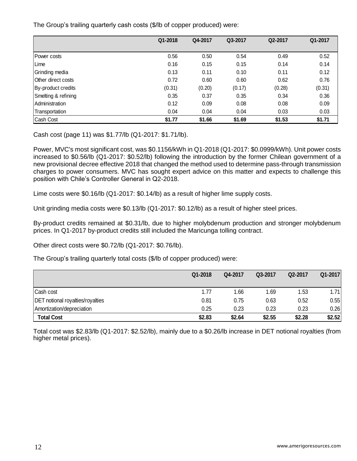The Group's trailing quarterly cash costs (\$/lb of copper produced) were:

|                     | Q1-2018 | Q4-2017 | Q3-2017 | Q2-2017 | Q1-2017 |
|---------------------|---------|---------|---------|---------|---------|
|                     |         |         |         |         |         |
| Power costs         | 0.56    | 0.50    | 0.54    | 0.49    | 0.52    |
| Lime                | 0.16    | 0.15    | 0.15    | 0.14    | 0.14    |
| Grinding media      | 0.13    | 0.11    | 0.10    | 0.11    | 0.12    |
| Other direct costs  | 0.72    | 0.60    | 0.60    | 0.62    | 0.76    |
| By-product credits  | (0.31)  | (0.20)  | (0.17)  | (0.28)  | (0.31)  |
| Smelting & refining | 0.35    | 0.37    | 0.35    | 0.34    | 0.36    |
| Administration      | 0.12    | 0.09    | 0.08    | 0.08    | 0.09    |
| Transportation      | 0.04    | 0.04    | 0.04    | 0.03    | 0.03    |
| Cash Cost           | \$1.77  | \$1.66  | \$1.69  | \$1.53  | \$1.71  |

Cash cost (page 11) was \$1.77/lb (Q1-2017: \$1.71/lb).

Power, MVC's most significant cost, was \$0.1156/kWh in Q1-2018 (Q1-2017: \$0.0999/kWh). Unit power costs increased to \$0.56/lb (Q1-2017: \$0.52/lb) following the introduction by the former Chilean government of a new provisional decree effective 2018 that changed the method used to determine pass-through transmission charges to power consumers. MVC has sought expert advice on this matter and expects to challenge this position with Chile's Controller General in Q2-2018.

Lime costs were \$0.16/lb (Q1-2017: \$0.14/lb) as a result of higher lime supply costs.

Unit grinding media costs were \$0.13/lb (Q1-2017: \$0.12/lb) as a result of higher steel prices.

By-product credits remained at \$0.31/lb, due to higher molybdenum production and stronger molybdenum prices. In Q1-2017 by-product credits still included the Maricunga tolling contract.

Other direct costs were \$0.72/lb (Q1-2017: \$0.76/lb).

The Group's trailing quarterly total costs (\$/lb of copper produced) were:

|                                         | Q1-2018 | Q4-2017 | Q3-2017 | Q2-2017 | Q1-2017 |
|-----------------------------------------|---------|---------|---------|---------|---------|
| Cash cost                               | 1.77    | 1.66    | 1.69    | 1.53    | 1.71    |
| <b>DET</b> notional royalties/royalties | 0.81    | 0.75    | 0.63    | 0.52    | 0.55    |
| Amortization/depreciation               | 0.25    | 0.23    | 0.23    | 0.23    | 0.26    |
| <b>Total Cost</b>                       | \$2.83  | \$2.64  | \$2.55  | \$2.28  | \$2.52  |

Total cost was \$2.83/lb (Q1-2017: \$2.52/lb), mainly due to a \$0.26/lb increase in DET notional royalties (from higher metal prices).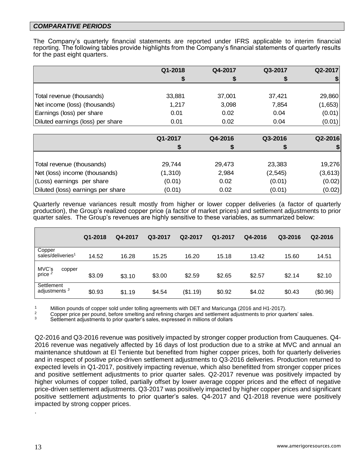### *COMPARATIVE PERIODS*

The Company's quarterly financial statements are reported under IFRS applicable to interim financial reporting. The following tables provide highlights from the Company's financial statements of quarterly results for the past eight quarters.

|                                   | Q1-2018 | Q4-2017 | Q3-2017 | Q2-2017 |
|-----------------------------------|---------|---------|---------|---------|
|                                   |         |         |         |         |
|                                   |         |         |         |         |
| Total revenue (thousands)         | 33,881  | 37,001  | 37,421  | 29,860  |
| Net income (loss) (thousands)     | 1,217   | 3,098   | 7,854   | (1,653) |
| Earnings (loss) per share         | 0.01    | 0.02    | 0.04    | (0.01)  |
| Diluted earnings (loss) per share | 0.01    | 0.02    | 0.04    | (0.01)  |

|                                   | Q1-2017 | Q4-2016 | Q3-2016  | Q2-2016 |
|-----------------------------------|---------|---------|----------|---------|
|                                   |         |         |          |         |
|                                   |         |         |          |         |
| Total revenue (thousands)         | 29,744  | 29,473  | 23,383   | 19,276  |
| Net (loss) income (thousands)     | (1,310) | 2,984   | (2, 545) | (3,613) |
| (Loss) earnings per share         | (0.01)  | 0.02    | (0.01)   | (0.02)  |
| Diluted (loss) earnings per share | (0.01)  | 0.02    | (0.01)   | (0.02)  |

Quarterly revenue variances result mostly from higher or lower copper deliveries (a factor of quarterly production), the Group's realized copper price (a factor of market prices) and settlement adjustments to prior quarter sales. The Group's revenues are highly sensitive to these variables, as summarized below:

|                                         | Q1-2018 | Q4-2017 | Q3-2017 | Q2-2017  | Q1-2017 | Q4-2016 | Q3-2016 | Q2-2016  |
|-----------------------------------------|---------|---------|---------|----------|---------|---------|---------|----------|
| Copper<br>sales/deliveries <sup>1</sup> | 14.52   | 16.28   | 15.25   | 16.20    | 15.18   | 13.42   | 15.60   | 14.51    |
| MVC's<br>copper<br>price $2$            | \$3.09  | \$3.10  | \$3.00  | \$2.59   | \$2.65  | \$2.57  | \$2.14  | \$2.10   |
| Settlement<br>adjustments $3$           | \$0.93  | \$1.19  | \$4.54  | (\$1.19) | \$0.92  | \$4.02  | \$0.43  | (\$0.96) |

<sup>1</sup> Million pounds of copper sold under tolling agreements with DET and Maricunga (2016 and H1-2017).

<sup>2</sup> Copper price per pound, before smelting and refining charges and settlement adjustments to prior quarters' sales.<br><sup>3</sup> Settlement adjustments to prior quarter's sales, expressed in millions of dellars.

Settlement adjustments to prior quarter's sales, expressed in millions of dollars

Q2-2016 and Q3-2016 revenue was positively impacted by stronger copper production from Cauquenes. Q4- 2016 revenue was negatively affected by 16 days of lost production due to a strike at MVC and annual an maintenance shutdown at El Teniente but benefited from higher copper prices, both for quarterly deliveries and in respect of positive price-driven settlement adjustments to Q3-2016 deliveries. Production returned to expected levels in Q1-2017, positively impacting revenue, which also benefitted from stronger copper prices and positive settlement adjustments to prior quarter sales. Q2-2017 revenue was positively impacted by higher volumes of copper tolled, partially offset by lower average copper prices and the effect of negative price-driven settlement adjustments. Q3-2017 was positively impacted by higher copper prices and significant positive settlement adjustments to prior quarter's sales. Q4-2017 and Q1-2018 revenue were positively impacted by strong copper prices.

.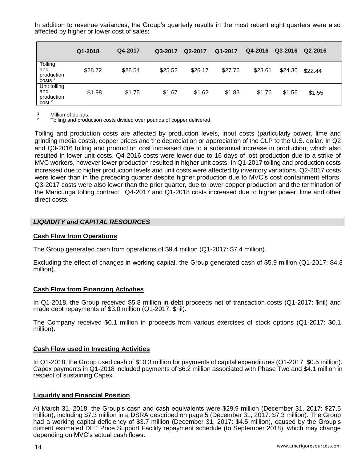In addition to revenue variances, the Group's quarterly results in the most recent eight quarters were also affected by higher or lower cost of sales:

|                                                | Q1-2018 | Q4-2017 | Q3-2017 | Q2-2017 | Q1-2017 | Q4-2016 | Q3-2016 | Q2-2016 |
|------------------------------------------------|---------|---------|---------|---------|---------|---------|---------|---------|
| Tolling<br>and<br>production<br>costs          | \$28.72 | \$28.54 | \$25.52 | \$26.17 | \$27.76 | \$23.61 | \$24.30 | \$22.44 |
| Unit tolling<br>and<br>production<br>$\cosh^2$ | \$1.98  | \$1.75  | \$1.67  | \$1.62  | \$1.83  | \$1.76  | \$1.56  | \$1.55  |

<sup>1</sup> Million of dollars.<br><sup>2</sup> Tolling and produ

<sup>2</sup> Tolling and production costs divided over pounds of copper delivered.

Tolling and production costs are affected by production levels, input costs (particularly power, lime and grinding media costs), copper prices and the depreciation or appreciation of the CLP to the U.S. dollar. In Q2 and Q3-2016 tolling and production cost increased due to a substantial increase in production, which also resulted in lower unit costs. Q4-2016 costs were lower due to 16 days of lost production due to a strike of MVC workers, however lower production resulted in higher unit costs. In Q1-2017 tolling and production costs increased due to higher production levels and unit costs were affected by inventory variations. Q2-2017 costs were lower than in the preceding quarter despite higher production due to MVC's cost containment efforts. Q3-2017 costs were also lower than the prior quarter, due to lower copper production and the termination of the Maricunga tolling contract. Q4-2017 and Q1-2018 costs increased due to higher power, lime and other direct costs.

### *LIQUIDITY and CAPITAL RESOURCES*

#### **Cash Flow from Operations**

The Group generated cash from operations of \$9.4 million (Q1-2017: \$7.4 million).

Excluding the effect of changes in working capital, the Group generated cash of \$5.9 million (Q1-2017: \$4.3 million).

#### **Cash Flow from Financing Activities**

In Q1-2018, the Group received \$5.8 million in debt proceeds net of transaction costs (Q1-2017: \$nil) and made debt repayments of \$3.0 million (Q1-2017: \$nil).

The Company received \$0.1 million in proceeds from various exercises of stock options (Q1-2017: \$0.1 million).

#### **Cash Flow used in Investing Activities**

In Q1-2018, the Group used cash of \$10.3 million for payments of capital expenditures (Q1-2017: \$0.5 million). Capex payments in Q1-2018 included payments of \$6.2 million associated with Phase Two and \$4.1 million in respect of sustaining Capex.

#### **Liquidity and Financial Position**

At March 31, 2018, the Group's cash and cash equivalents were \$29.9 million (December 31, 2017: \$27.5 million), including \$7.3 million in a DSRA described on page 5 (December 31, 2017: \$7.3 million). The Group had a working capital deficiency of \$3.7 million (December 31, 2017: \$4.5 million), caused by the Group's current estimated DET Price Support Facility repayment schedule (to September 2018), which may change depending on MVC's actual cash flows.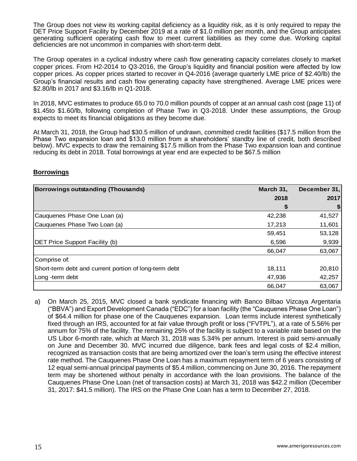The Group does not view its working capital deficiency as a liquidity risk, as it is only required to repay the DET Price Support Facility by December 2019 at a rate of \$1.0 million per month, and the Group anticipates generating sufficient operating cash flow to meet current liabilities as they come due. Working capital deficiencies are not uncommon in companies with short-term debt.

The Group operates in a cyclical industry where cash flow generating capacity correlates closely to market copper prices. From H2-2014 to Q3-2016, the Group's liquidity and financial position were affected by low copper prices. As copper prices started to recover in Q4-2016 (average quarterly LME price of \$2.40/lb) the Group's financial results and cash flow generating capacity have strengthened. Average LME prices were \$2.80/lb in 2017 and \$3.16/lb in Q1-2018.

In 2018, MVC estimates to produce 65.0 to 70.0 million pounds of copper at an annual cash cost (page 11) of \$1.45to \$1.60/lb, following completion of Phase Two in Q3-2018. Under these assumptions, the Group expects to meet its financial obligations as they become due.

At March 31, 2018, the Group had \$30.5 million of undrawn, committed credit facilities (\$17.5 million from the Phase Two expansion loan and \$13.0 million from a shareholders' standby line of credit, both described below). MVC expects to draw the remaining \$17.5 million from the Phase Two expansion loan and continue reducing its debt in 2018. Total borrowings at year end are expected to be \$67.5 million

### **Borrowings**

| Borrowings outstanding (Thousands)                    | March 31, | December 31, |
|-------------------------------------------------------|-----------|--------------|
|                                                       | 2018      | 2017         |
|                                                       | ъ         | \$           |
| Cauquenes Phase One Loan (a)                          | 42,238    | 41,527       |
| Cauquenes Phase Two Loan (a)                          | 17,213    | 11,601       |
|                                                       | 59,451    | 53,128       |
| <b>DET Price Support Facility (b)</b>                 | 6,596     | 9,939        |
|                                                       | 66,047    | 63,067       |
| Comprise of:                                          |           |              |
| Short-term debt and current portion of long-term debt | 18,111    | 20,810       |
| Long-term debt                                        | 47,936    | 42,257       |
|                                                       | 66,047    | 63,067       |

a) On March 25, 2015, MVC closed a bank syndicate financing with Banco Bilbao Vizcaya Argentaria ("BBVA") and Export Development Canada ("EDC") for a loan facility (the "Cauquenes Phase One Loan") of \$64.4 million for phase one of the Cauquenes expansion. Loan terms include interest synthetically fixed through an IRS, accounted for at fair value through profit or loss ("FVTPL"), at a rate of 5.56% per annum for 75% of the facility. The remaining 25% of the facility is subject to a variable rate based on the US Libor 6-month rate, which at March 31, 2018 was 5.34% per annum. Interest is paid semi-annually on June and December 30. MVC incurred due diligence, bank fees and legal costs of \$2.4 million, recognized as transaction costs that are being amortized over the loan's term using the effective interest rate method. The Cauquenes Phase One Loan has a maximum repayment term of 6 years consisting of 12 equal semi-annual principal payments of \$5.4 million, commencing on June 30, 2016. The repayment term may be shortened without penalty in accordance with the loan provisions. The balance of the Cauquenes Phase One Loan (net of transaction costs) at March 31, 2018 was \$42.2 million (December 31, 2017: \$41.5 million). The IRS on the Phase One Loan has a term to December 27, 2018.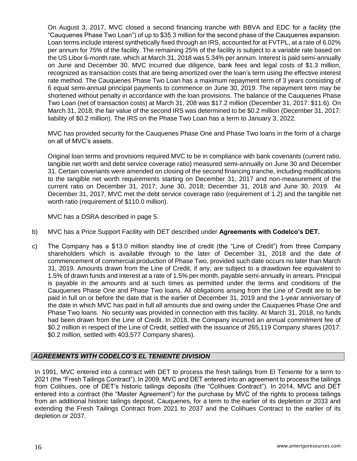On August 3, 2017, MVC closed a second financing tranche with BBVA and EDC for a facility (the "Cauquenes Phase Two Loan") of up to \$35.3 million for the second phase of the Cauquenes expansion. Loan terms include interest synthetically fixed through an IRS, accounted for at FVTPL, at a rate of 6.02% per annum for 75% of the facility. The remaining 25% of the facility is subject to a variable rate based on the US Libor 6-month rate, which at March 31, 2018 was 5.34% per annum. Interest is paid semi-annually on June and December 30. MVC incurred due diligence, bank fees and legal costs of \$1.3 million, recognized as transaction costs that are being amortized over the loan's term using the effective interest rate method. The Cauquenes Phase Two Loan has a maximum repayment term of 3 years consisting of 6 equal semi-annual principal payments to commence on June 30, 2019. The repayment term may be shortened without penalty in accordance with the loan provisions. The balance of the Cauquenes Phase Two Loan (net of transaction costs) at March 31, 208 was \$17.2 million (December 31, 2017: \$11.6). On March 31, 2018, the fair value of the second IRS was determined to be \$0.2 million (December 31, 2017: liability of \$0.2 million). The IRS on the Phase Two Loan has a term to January 3, 2022.

MVC has provided security for the Cauquenes Phase One and Phase Two loans in the form of a charge on all of MVC's assets.

Original loan terms and provisions required MVC to be in compliance with bank covenants (current ratio, tangible net worth and debt service coverage ratio) measured semi-annually on June 30 and December 31. Certain covenants were amended on closing of the second financing tranche, including modifications to the tangible net worth requirements starting on December 31, 2017 and non-measurement of the current ratio on December 31, 2017; June 30, 2018; December 31, 2018 and June 30, 2019. At December 31, 2017, MVC met the debt service coverage ratio (requirement of 1.2) and the tangible net worth ratio (requirement of \$110.0 million).

MVC has a DSRA described in page 5.

- b) MVC has a Price Support Facility with DET described under **Agreements with Codelco's DET.**
- c) The Company has a \$13.0 million standby line of credit (the "Line of Credit") from three Company shareholders which is available through to the later of December 31, 2018 and the date of commencement of commercial production of Phase Two, provided such date occurs no later than March 31, 2019. Amounts drawn from the Line of Credit, if any, are subject to a drawdown fee equivalent to 1.5% of drawn funds and interest at a rate of 1.5% per month, payable semi-annually in arrears. Principal is payable in the amounts and at such times as permitted under the terms and conditions of the Cauquenes Phase One and Phase Two loans. All obligations arising from the Line of Credit are to be paid in full on or before the date that is the earlier of December 31, 2019 and the 1-year anniversary of the date in which MVC has paid in full all amounts due and owing under the Cauquenes Phase One and Phase Two loans. No security was provided in connection with this facility. At March 31, 2018, no funds had been drawn from the Line of Credit. In 2018, the Company incurred an annual commitment fee of \$0.2 million in respect of the Line of Credit, settled with the issuance of 265,119 Company shares (2017: \$0.2 million, settled with 403,577 Company shares).

### *AGREEMENTS WITH CODELCO'S EL TENIENTE DIVISION*

In 1991, MVC entered into a contract with DET to process the fresh tailings from El Teniente for a term to 2021 (the "Fresh Tailings Contract"). In 2009, MVC and DET entered into an agreement to process the tailings from Colihues, one of DET's historic tailings deposits (the "Colihues Contract"). In 2014, MVC and DET entered into a contract (the "Master Agreement") for the purchase by MVC of the rights to process tailings from an additional historic tailings deposit, Cauquenes, for a term to the earlier of its depletion or 2033 and extending the Fresh Tailings Contract from 2021 to 2037 and the Colihues Contract to the earlier of its depletion or 2037.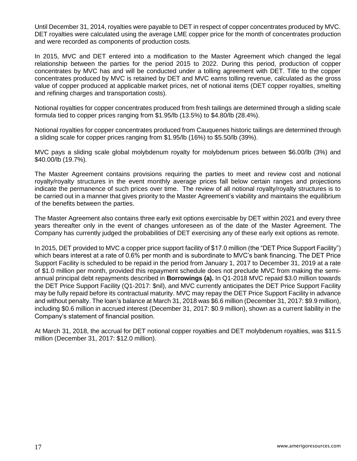Until December 31, 2014, royalties were payable to DET in respect of copper concentrates produced by MVC. DET royalties were calculated using the average LME copper price for the month of concentrates production and were recorded as components of production costs.

In 2015, MVC and DET entered into a modification to the Master Agreement which changed the legal relationship between the parties for the period 2015 to 2022. During this period, production of copper concentrates by MVC has and will be conducted under a tolling agreement with DET. Title to the copper concentrates produced by MVC is retained by DET and MVC earns tolling revenue, calculated as the gross value of copper produced at applicable market prices, net of notional items (DET copper royalties, smelting and refining charges and transportation costs).

Notional royalties for copper concentrates produced from fresh tailings are determined through a sliding scale formula tied to copper prices ranging from \$1.95/lb (13.5%) to \$4.80/lb (28.4%).

Notional royalties for copper concentrates produced from Cauquenes historic tailings are determined through a sliding scale for copper prices ranging from \$1.95/lb (16%) to \$5.50/lb (39%).

MVC pays a sliding scale global molybdenum royalty for molybdenum prices between \$6.00/lb (3%) and \$40.00/lb (19.7%).

The Master Agreement contains provisions requiring the parties to meet and review cost and notional royalty/royalty structures in the event monthly average prices fall below certain ranges and projections indicate the permanence of such prices over time. The review of all notional royalty/royalty structures is to be carried out in a manner that gives priority to the Master Agreement's viability and maintains the equilibrium of the benefits between the parties.

The Master Agreement also contains three early exit options exercisable by DET within 2021 and every three years thereafter only in the event of changes unforeseen as of the date of the Master Agreement. The Company has currently judged the probabilities of DET exercising any of these early exit options as remote.

In 2015, DET provided to MVC a copper price support facility of \$17.0 million (the "DET Price Support Facility") which bears interest at a rate of 0.6% per month and is subordinate to MVC's bank financing. The DET Price Support Facility is scheduled to be repaid in the period from January 1, 2017 to December 31, 2019 at a rate of \$1.0 million per month, provided this repayment schedule does not preclude MVC from making the semiannual principal debt repayments described in **Borrowings (a).** In Q1-2018 MVC repaid \$3.0 million towards the DET Price Support Facility (Q1-2017: \$nil), and MVC currently anticipates the DET Price Support Facility may be fully repaid before its contractual maturity. MVC may repay the DET Price Support Facility in advance and without penalty. The loan's balance at March 31, 2018 was \$6.6 million (December 31, 2017: \$9.9 million), including \$0.6 million in accrued interest (December 31, 2017: \$0.9 million), shown as a current liability in the Company's statement of financial position.

At March 31, 2018, the accrual for DET notional copper royalties and DET molybdenum royalties, was \$11.5 million (December 31, 2017: \$12.0 million).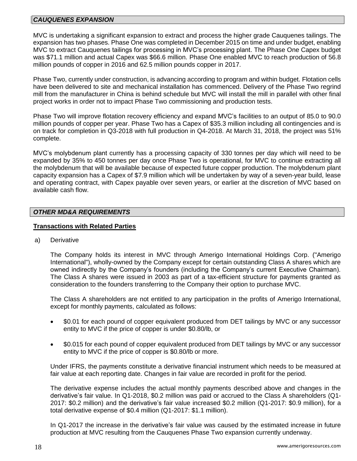#### *CAUQUENES EXPANSION*

MVC is undertaking a significant expansion to extract and process the higher grade Cauquenes tailings. The expansion has two phases. Phase One was completed in December 2015 on time and under budget, enabling MVC to extract Cauquenes tailings for processing in MVC's processing plant. The Phase One Capex budget was \$71.1 million and actual Capex was \$66.6 million. Phase One enabled MVC to reach production of 56.8 million pounds of copper in 2016 and 62.5 million pounds copper in 2017.

Phase Two, currently under construction, is advancing according to program and within budget. Flotation cells have been delivered to site and mechanical installation has commenced. Delivery of the Phase Two regrind mill from the manufacturer in China is behind schedule but MVC will install the mill in parallel with other final project works in order not to impact Phase Two commissioning and production tests.

Phase Two will improve flotation recovery efficiency and expand MVC's facilities to an output of 85.0 to 90.0 million pounds of copper per year. Phase Two has a Capex of \$35.3 million including all contingencies and is on track for completion in Q3-2018 with full production in Q4-2018. At March 31, 2018, the project was 51% complete.

MVC's molybdenum plant currently has a processing capacity of 330 tonnes per day which will need to be expanded by 35% to 450 tonnes per day once Phase Two is operational, for MVC to continue extracting all the molybdenum that will be available because of expected future copper production. The molybdenum plant capacity expansion has a Capex of \$7.9 million which will be undertaken by way of a seven-year build, lease and operating contract, with Capex payable over seven years, or earlier at the discretion of MVC based on available cash flow.

#### *OTHER MD&A REQUIREMENTS*

#### **Transactions with Related Parties**

a) Derivative

The Company holds its interest in MVC through Amerigo International Holdings Corp. ("Amerigo International"), wholly-owned by the Company except for certain outstanding Class A shares which are owned indirectly by the Company's founders (including the Company's current Executive Chairman). The Class A shares were issued in 2003 as part of a tax-efficient structure for payments granted as consideration to the founders transferring to the Company their option to purchase MVC.

The Class A shareholders are not entitled to any participation in the profits of Amerigo International, except for monthly payments, calculated as follows:

- \$0.01 for each pound of copper equivalent produced from DET tailings by MVC or any successor entity to MVC if the price of copper is under \$0.80/lb, or
- \$0.015 for each pound of copper equivalent produced from DET tailings by MVC or any successor entity to MVC if the price of copper is \$0.80/lb or more.

Under IFRS, the payments constitute a derivative financial instrument which needs to be measured at fair value at each reporting date. Changes in fair value are recorded in profit for the period.

The derivative expense includes the actual monthly payments described above and changes in the derivative's fair value. In Q1-2018, \$0.2 million was paid or accrued to the Class A shareholders (Q1- 2017: \$0.2 million) and the derivative's fair value increased \$0.2 million (Q1-2017: \$0.9 million), for a total derivative expense of \$0.4 million (Q1-2017: \$1.1 million).

In Q1-2017 the increase in the derivative's fair value was caused by the estimated increase in future production at MVC resulting from the Cauquenes Phase Two expansion currently underway.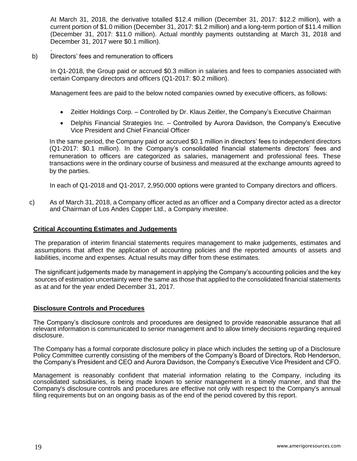At March 31, 2018, the derivative totalled \$12.4 million (December 31, 2017: \$12.2 million), with a current portion of \$1.0 million (December 31, 2017: \$1.2 million) and a long-term portion of \$11.4 million (December 31, 2017: \$11.0 million). Actual monthly payments outstanding at March 31, 2018 and December 31, 2017 were \$0.1 million).

#### . b) Directors' fees and remuneration to officers

In Q1-2018, the Group paid or accrued \$0.3 million in salaries and fees to companies associated with certain Company directors and officers (Q1-2017: \$0.2 million).

Management fees are paid to the below noted companies owned by executive officers, as follows:

- Zeitler Holdings Corp. Controlled by Dr. Klaus Zeitler, the Company's Executive Chairman
- Delphis Financial Strategies Inc. Controlled by Aurora Davidson, the Company's Executive Vice President and Chief Financial Officer

In the same period, the Company paid or accrued \$0.1 million in directors' fees to independent directors (Q1-2017: \$0.1 million). In the Company's consolidated financial statements directors' fees and remuneration to officers are categorized as salaries, management and professional fees. These transactions were in the ordinary course of business and measured at the exchange amounts agreed to by the parties.

In each of Q1-2018 and Q1-2017, 2,950,000 options were granted to Company directors and officers.

c) As of March 31, 2018, a Company officer acted as an officer and a Company director acted as a director and Chairman of Los Andes Copper Ltd., a Company investee.

#### **Critical Accounting Estimates and Judgements**

The preparation of interim financial statements requires management to make judgements, estimates and assumptions that affect the application of accounting policies and the reported amounts of assets and liabilities, income and expenses. Actual results may differ from these estimates.

The significant judgements made by management in applying the Company's accounting policies and the key sources of estimation uncertainty were the same as those that applied to the consolidated financial statements as at and for the year ended December 31, 2017.

#### **Disclosure Controls and Procedures**

The Company's disclosure controls and procedures are designed to provide reasonable assurance that all relevant information is communicated to senior management and to allow timely decisions regarding required disclosure.

The Company has a formal corporate disclosure policy in place which includes the setting up of a Disclosure Policy Committee currently consisting of the members of the Company's Board of Directors, Rob Henderson, the Company's President and CEO and Aurora Davidson, the Company's Executive Vice President and CFO.

Management is reasonably confident that material information relating to the Company, including its consolidated subsidiaries, is being made known to senior management in a timely manner, and that the Company's disclosure controls and procedures are effective not only with respect to the Company's annual filing requirements but on an ongoing basis as of the end of the period covered by this report.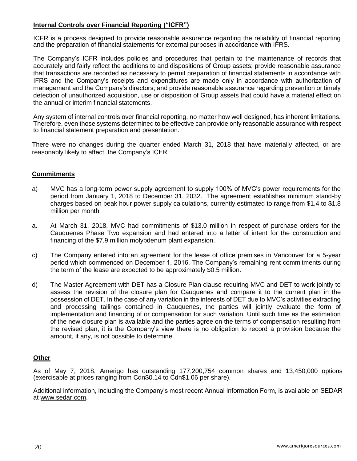## **Internal Controls over Financial Reporting ("ICFR")**

ICFR is a process designed to provide reasonable assurance regarding the reliability of financial reporting and the preparation of financial statements for external purposes in accordance with IFRS.

The Company's ICFR includes policies and procedures that pertain to the maintenance of records that accurately and fairly reflect the additions to and dispositions of Group assets; provide reasonable assurance that transactions are recorded as necessary to permit preparation of financial statements in accordance with IFRS and the Company's receipts and expenditures are made only in accordance with authorization of management and the Company's directors; and provide reasonable assurance regarding prevention or timely detection of unauthorized acquisition, use or disposition of Group assets that could have a material effect on the annual or interim financial statements.

Any system of internal controls over financial reporting, no matter how well designed, has inherent limitations. Therefore, even those systems determined to be effective can provide only reasonable assurance with respect to financial statement preparation and presentation.

There were no changes during the quarter ended March 31, 2018 that have materially affected, or are reasonably likely to affect, the Company's ICFR

### **Commitments**

- a) MVC has a long-term power supply agreement to supply 100% of MVC's power requirements for the period from January 1, 2018 to December 31, 2032. The agreement establishes minimum stand-by charges based on peak hour power supply calculations, currently estimated to range from \$1.4 to \$1.8 million per month.
- a. At March 31, 2018, MVC had commitments of \$13.0 million in respect of purchase orders for the Cauquenes Phase Two expansion and had entered into a letter of intent for the construction and financing of the \$7.9 million molybdenum plant expansion.
- c) The Company entered into an agreement for the lease of office premises in Vancouver for a 5-year period which commenced on December 1, 2016. The Company's remaining rent commitments during the term of the lease are expected to be approximately \$0.5 million.
- d) The Master Agreement with DET has a Closure Plan clause requiring MVC and DET to work jointly to assess the revision of the closure plan for Cauquenes and compare it to the current plan in the possession of DET. In the case of any variation in the interests of DET due to MVC's activities extracting and processing tailings contained in Cauquenes, the parties will jointly evaluate the form of implementation and financing of or compensation for such variation. Until such time as the estimation of the new closure plan is available and the parties agree on the terms of compensation resulting from the revised plan, it is the Company's view there is no obligation to record a provision because the amount, if any, is not possible to determine.

### **Other**

As of May 7, 2018, Amerigo has outstanding 177,200,754 common shares and 13,450,000 options (exercisable at prices ranging from Cdn\$0.14 to Cdn\$1.06 per share).

Additional information, including the Company's most recent Annual Information Form, is available on SEDAR at [www.sedar.com.](http://www.sedar.com/)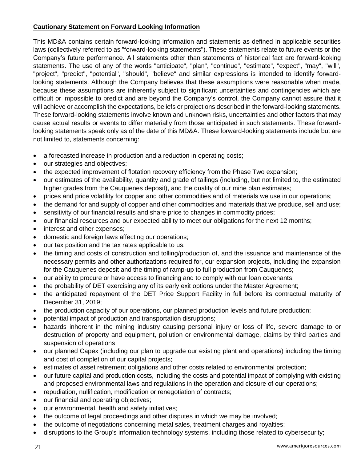# **Cautionary Statement on Forward Looking Information**

This MD&A contains certain forward-looking information and statements as defined in applicable securities laws (collectively referred to as "forward-looking statements"). These statements relate to future events or the Company's future performance. All statements other than statements of historical fact are forward-looking statements. The use of any of the words "anticipate", "plan", "continue", "estimate", "expect", "may", "will", "project", "predict", "potential", "should", "believe" and similar expressions is intended to identify forwardlooking statements. Although the Company believes that these assumptions were reasonable when made, because these assumptions are inherently subject to significant uncertainties and contingencies which are difficult or impossible to predict and are beyond the Company's control, the Company cannot assure that it will achieve or accomplish the expectations, beliefs or projections described in the forward-looking statements. These forward-looking statements involve known and unknown risks, uncertainties and other factors that may cause actual results or events to differ materially from those anticipated in such statements. These forwardlooking statements speak only as of the date of this MD&A. These forward-looking statements include but are not limited to, statements concerning:

- a forecasted increase in production and a reduction in operating costs;
- our strategies and objectives;
- the expected improvement of flotation recovery efficiency from the Phase Two expansion;
- our estimates of the availability, quantity and grade of tailings (including, but not limited to, the estimated higher grades from the Cauquenes deposit), and the quality of our mine plan estimates;
- prices and price volatility for copper and other commodities and of materials we use in our operations;
- the demand for and supply of copper and other commodities and materials that we produce, sell and use;
- sensitivity of our financial results and share price to changes in commodity prices;
- our financial resources and our expected ability to meet our obligations for the next 12 months;
- interest and other expenses;
- domestic and foreign laws affecting our operations;
- our tax position and the tax rates applicable to us;
- the timing and costs of construction and tolling/production of, and the issuance and maintenance of the necessary permits and other authorizations required for, our expansion projects, including the expansion for the Cauquenes deposit and the timing of ramp-up to full production from Cauquenes;
- our ability to procure or have access to financing and to comply with our loan covenants;
- the probability of DET exercising any of its early exit options under the Master Agreement;
- the anticipated repayment of the DET Price Support Facility in full before its contractual maturity of December 31, 2019;
- the production capacity of our operations, our planned production levels and future production;
- potential impact of production and transportation disruptions;
- hazards inherent in the mining industry causing personal injury or loss of life, severe damage to or destruction of property and equipment, pollution or environmental damage, claims by third parties and suspension of operations
- our planned Capex (including our plan to upgrade our existing plant and operations) including the timing and cost of completion of our capital projects;
- estimates of asset retirement obligations and other costs related to environmental protection;
- our future capital and production costs, including the costs and potential impact of complying with existing and proposed environmental laws and regulations in the operation and closure of our operations;
- repudiation, nullification, modification or renegotiation of contracts;
- our financial and operating objectives;
- our environmental, health and safety initiatives;
- the outcome of legal proceedings and other disputes in which we may be involved;
- the outcome of negotiations concerning metal sales, treatment charges and royalties;
- disruptions to the Group's information technology systems, including those related to cybersecurity;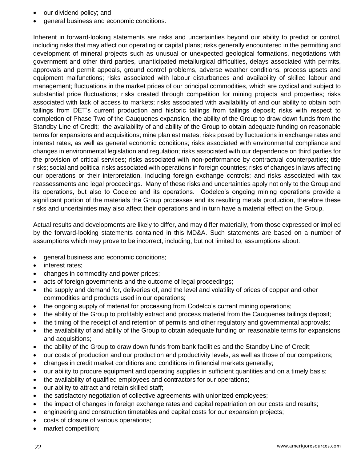- our dividend policy; and
- general business and economic conditions.

Inherent in forward-looking statements are risks and uncertainties beyond our ability to predict or control, including risks that may affect our operating or capital plans; risks generally encountered in the permitting and development of mineral projects such as unusual or unexpected geological formations, negotiations with government and other third parties, unanticipated metallurgical difficulties, delays associated with permits, approvals and permit appeals, ground control problems, adverse weather conditions, process upsets and equipment malfunctions; risks associated with labour disturbances and availability of skilled labour and management; fluctuations in the market prices of our principal commodities, which are cyclical and subject to substantial price fluctuations; risks created through competition for mining projects and properties; risks associated with lack of access to markets; risks associated with availability of and our ability to obtain both tailings from DET's current production and historic tailings from tailings deposit; risks with respect to completion of Phase Two of the Cauquenes expansion, the ability of the Group to draw down funds from the Standby Line of Credit; the availability of and ability of the Group to obtain adequate funding on reasonable terms for expansions and acquisitions; mine plan estimates; risks posed by fluctuations in exchange rates and interest rates, as well as general economic conditions; risks associated with environmental compliance and changes in environmental legislation and regulation; risks associated with our dependence on third parties for the provision of critical services; risks associated with non-performance by contractual counterparties; title risks; social and political risks associated with operations in foreign countries; risks of changes in laws affecting our operations or their interpretation, including foreign exchange controls; and risks associated with tax reassessments and legal proceedings. Many of these risks and uncertainties apply not only to the Group and its operations, but also to Codelco and its operations. Codelco's ongoing mining operations provide a significant portion of the materials the Group processes and its resulting metals production, therefore these risks and uncertainties may also affect their operations and in turn have a material effect on the Group.

Actual results and developments are likely to differ, and may differ materially, from those expressed or implied by the forward-looking statements contained in this MD&A. Such statements are based on a number of assumptions which may prove to be incorrect, including, but not limited to, assumptions about:

- general business and economic conditions;
- interest rates;
- changes in commodity and power prices;
- acts of foreign governments and the outcome of legal proceedings;
- the supply and demand for, deliveries of, and the level and volatility of prices of copper and other commodities and products used in our operations;
- the ongoing supply of material for processing from Codelco's current mining operations;
- the ability of the Group to profitably extract and process material from the Cauquenes tailings deposit;
- the timing of the receipt of and retention of permits and other regulatory and governmental approvals;
- the availability of and ability of the Group to obtain adequate funding on reasonable terms for expansions and acquisitions;
- the ability of the Group to draw down funds from bank facilities and the Standby Line of Credit;
- our costs of production and our production and productivity levels, as well as those of our competitors;
- changes in credit market conditions and conditions in financial markets generally;
- our ability to procure equipment and operating supplies in sufficient quantities and on a timely basis;
- the availability of qualified employees and contractors for our operations;
- our ability to attract and retain skilled staff;
- the satisfactory negotiation of collective agreements with unionized employees;
- the impact of changes in foreign exchange rates and capital repatriation on our costs and results;
- engineering and construction timetables and capital costs for our expansion projects;
- costs of closure of various operations;
- market competition;